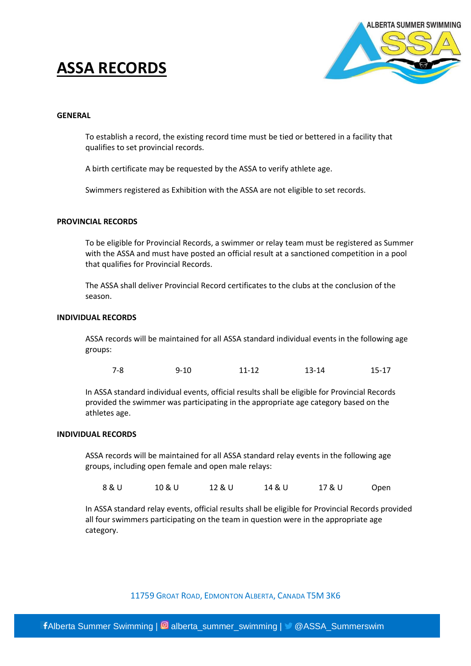# **ASSA RECORDS**



## **GENERAL**

To establish a record, the existing record time must be tied or bettered in a facility that qualifies to set provincial records.

A birth certificate may be requested by the ASSA to verify athlete age.

Swimmers registered as Exhibition with the ASSA are not eligible to set records.

## **PROVINCIAL RECORDS**

To be eligible for Provincial Records, a swimmer or relay team must be registered as Summer with the ASSA and must have posted an official result at a sanctioned competition in a pool that qualifies for Provincial Records.

The ASSA shall deliver Provincial Record certificates to the clubs at the conclusion of the season.

### **INDIVIDUAL RECORDS**

ASSA records will be maintained for all ASSA standard individual events in the following age groups:

| $7 - 8$ | 9-10 | 11-12 | $13 - 14$ | $15 - 17$ |
|---------|------|-------|-----------|-----------|
|         |      |       |           |           |

In ASSA standard individual events, official results shall be eligible for Provincial Records provided the swimmer was participating in the appropriate age category based on the athletes age.

## **INDIVIDUAL RECORDS**

ASSA records will be maintained for all ASSA standard relay events in the following age groups, including open female and open male relays:

8 & U 10 & U 12 & U 14 & U 17 & U Open

In ASSA standard relay events, official results shall be eligible for Provincial Records provided all four swimmers participating on the team in question were in the appropriate age category.

11759 GROAT ROAD, EDMONTON ALBERTA, CANADA T5M 3K6